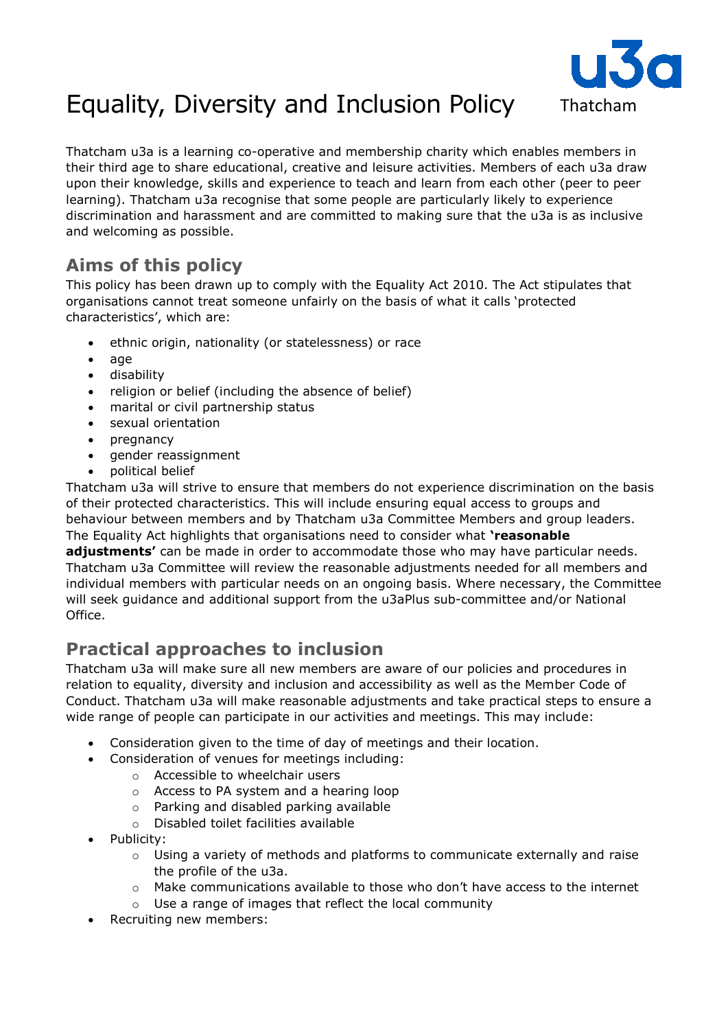

# Equality, Diversity and Inclusion Policy

Thatcham u3a is a learning co-operative and membership charity which enables members in their third age to share educational, creative and leisure activities. Members of each u3a draw upon their knowledge, skills and experience to teach and learn from each other (peer to peer learning). Thatcham u3a recognise that some people are particularly likely to experience discrimination and harassment and are committed to making sure that the u3a is as inclusive and welcoming as possible.

## **Aims of this policy**

This policy has been drawn up to comply with the Equality Act 2010. The Act stipulates that organisations cannot treat someone unfairly on the basis of what it calls 'protected characteristics', which are:

- ethnic origin, nationality (or statelessness) or race
- age
- disability
- religion or belief (including the absence of belief)
- marital or civil partnership status
- sexual orientation
- pregnancy
- gender reassignment
- political belief

Thatcham u3a will strive to ensure that members do not experience discrimination on the basis of their protected characteristics. This will include ensuring equal access to groups and behaviour between members and by Thatcham u3a Committee Members and group leaders. The Equality Act highlights that organisations need to consider what **'reasonable adjustments'** can be made in order to accommodate those who may have particular needs. Thatcham u3a Committee will review the reasonable adjustments needed for all members and individual members with particular needs on an ongoing basis. Where necessary, the Committee will seek guidance and additional support from the u3aPlus sub-committee and/or National Office.

### **Practical approaches to inclusion**

Thatcham u3a will make sure all new members are aware of our policies and procedures in relation to equality, diversity and inclusion and accessibility as well as the Member Code of Conduct. Thatcham u3a will make reasonable adjustments and take practical steps to ensure a wide range of people can participate in our activities and meetings. This may include:

- Consideration given to the time of day of meetings and their location.
- Consideration of venues for meetings including:
	- o Accessible to wheelchair users
	- o Access to PA system and a hearing loop
	- o Parking and disabled parking available
	- o Disabled toilet facilities available
- Publicity:
	- $\circ$  Using a variety of methods and platforms to communicate externally and raise the profile of the u3a.
	- $\circ$  Make communications available to those who don't have access to the internet
	- o Use a range of images that reflect the local community
- Recruiting new members: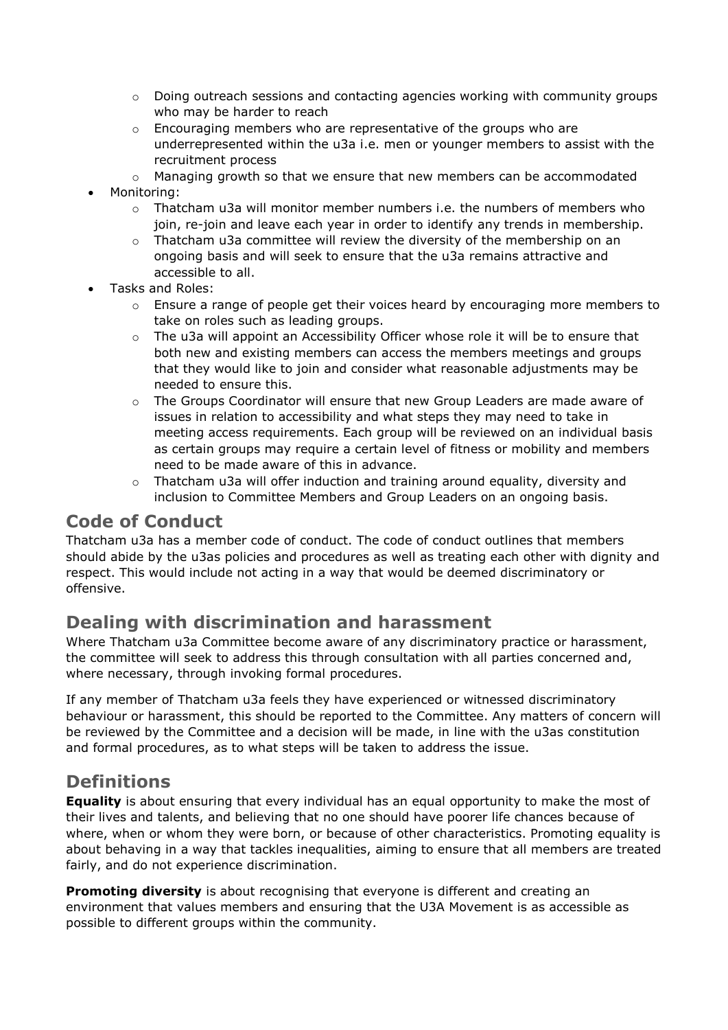- $\circ$  Doing outreach sessions and contacting agencies working with community groups who may be harder to reach
- $\circ$  Encouraging members who are representative of the groups who are underrepresented within the u3a i.e. men or younger members to assist with the recruitment process
- $\circ$  Managing growth so that we ensure that new members can be accommodated
- Monitoring:
	- $\circ$  Thatcham u3a will monitor member numbers i.e. the numbers of members who join, re-join and leave each year in order to identify any trends in membership.
	- $\circ$  Thatcham u3a committee will review the diversity of the membership on an ongoing basis and will seek to ensure that the u3a remains attractive and accessible to all.
- Tasks and Roles:
	- $\circ$  Ensure a range of people get their voices heard by encouraging more members to take on roles such as leading groups.
	- $\circ$  The u3a will appoint an Accessibility Officer whose role it will be to ensure that both new and existing members can access the members meetings and groups that they would like to join and consider what reasonable adjustments may be needed to ensure this.
	- $\circ$  The Groups Coordinator will ensure that new Group Leaders are made aware of issues in relation to accessibility and what steps they may need to take in meeting access requirements. Each group will be reviewed on an individual basis as certain groups may require a certain level of fitness or mobility and members need to be made aware of this in advance.
	- $\circ$  Thatcham u3a will offer induction and training around equality, diversity and inclusion to Committee Members and Group Leaders on an ongoing basis.

#### **Code of Conduct**

Thatcham u3a has a member code of conduct. The code of conduct outlines that members should abide by the u3as policies and procedures as well as treating each other with dignity and respect. This would include not acting in a way that would be deemed discriminatory or offensive.

#### **Dealing with discrimination and harassment**

Where Thatcham u3a Committee become aware of any discriminatory practice or harassment, the committee will seek to address this through consultation with all parties concerned and, where necessary, through invoking formal procedures.

If any member of Thatcham u3a feels they have experienced or witnessed discriminatory behaviour or harassment, this should be reported to the Committee. Any matters of concern will be reviewed by the Committee and a decision will be made, in line with the u3as constitution and formal procedures, as to what steps will be taken to address the issue.

### **Definitions**

**Equality** is about ensuring that every individual has an equal opportunity to make the most of their lives and talents, and believing that no one should have poorer life chances because of where, when or whom they were born, or because of other characteristics. Promoting equality is about behaving in a way that tackles inequalities, aiming to ensure that all members are treated fairly, and do not experience discrimination.

**Promoting diversity** is about recognising that everyone is different and creating an environment that values members and ensuring that the U3A Movement is as accessible as possible to different groups within the community.